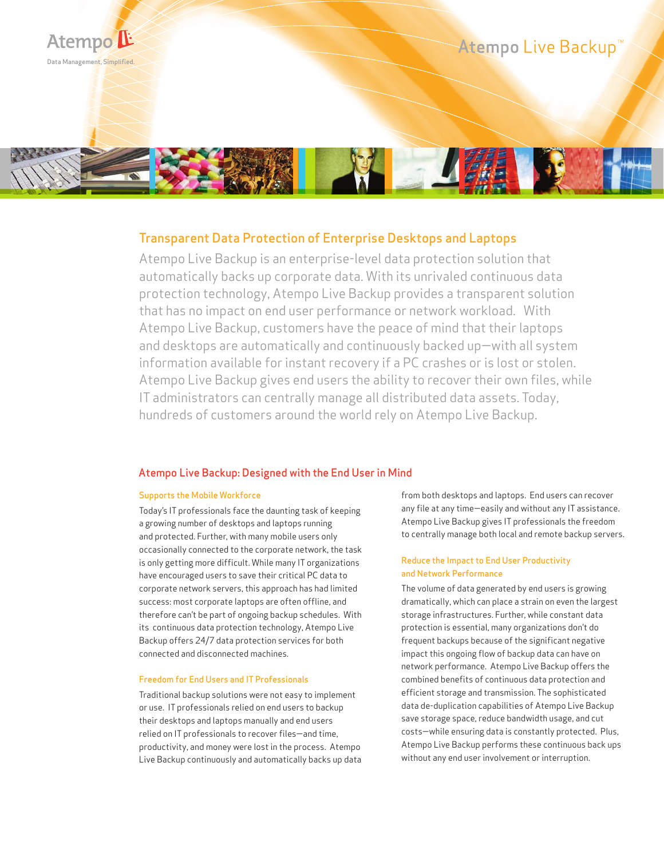

# Transparent Data Protection of Enterprise Desktops and Laptops

Atempo Live Backup is an enterprise-level data protection solution that automatically backs up corporate data. With its unrivaled continuous data protection technology, Atempo Live Backup provides a transparent solution that has no impact on end user performance or network workload. With Atempo Live Backup, customers have the peace of mind that their laptops and desktops are automatically and continuously backed up—with all system information available for instant recovery if a PC crashes or is lost or stolen. Atempo Live Backup gives end users the ability to recover their own files, while IT administrators can centrally manage all distributed data assets. Today, hundreds of customers around the world rely on Atempo Live Backup.

## Atempo Live Backup: Designed with the End User in Mind

## Supports the Mobile Workforce

Today's IT professionals face the daunting task of keeping a growing number of desktops and laptops running and protected. Further, with many mobile users only occasionally connected to the corporate network, the task is only getting more difficult. While many IT organizations have encouraged users to save their critical PC data to corporate network servers, this approach has had limited success: most corporate laptops are often offline, and therefore can't be part of ongoing backup schedules. With its continuous data protection technology, Atempo Live Backup offers 24/7 data protection services for both connected and disconnected machines.

#### Freedom for End Users and IT Professionals

Traditional backup solutions were not easy to implement or use. IT professionals relied on end users to backup their desktops and laptops manually and end users relied on IT professionals to recover files—and time, productivity, and money were lost in the process. Atempo Live Backup continuously and automatically backs up data from both desktops and laptops. End users can recover any file at any time—easily and without any IT assistance. Atempo Live Backup gives IT professionals the freedom to centrally manage both local and remote backup servers.

## Reduce the Impact to End User Productivity and Network Performance

The volume of data generated by end users is growing dramatically, which can place a strain on even the largest storage infrastructures. Further, while constant data protection is essential, many organizations don't do frequent backups because of the significant negative impact this ongoing flow of backup data can have on network performance. Atempo Live Backup offers the combined benefits of continuous data protection and efficient storage and transmission. The sophisticated data de-duplication capabilities of Atempo Live Backup save storage space, reduce bandwidth usage, and cut costs—while ensuring data is constantly protected. Plus, Atempo Live Backup performs these continuous back ups without any end user involvement or interruption.